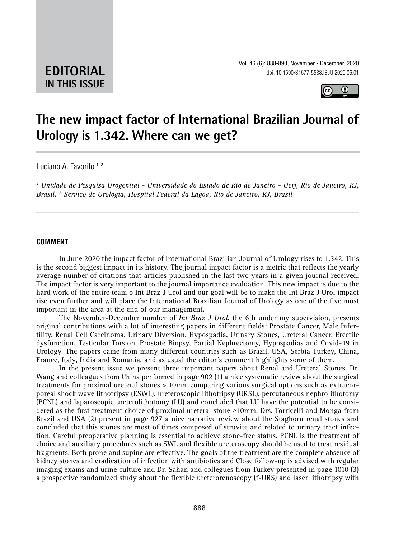**EDITORIAL IN THIS ISSUE**



# **The new impact factor of International Brazilian Journal of Urology is 1.342. Where can we get? \_\_\_\_\_\_\_\_\_\_\_\_\_\_\_\_\_\_\_\_\_\_\_\_\_\_\_\_\_\_\_\_\_\_\_\_\_\_\_\_\_\_\_\_\_\_\_**

Luciano A. Favorito 1,2

*1 Unidade de Pesquisa Urogenital - Universidade do Estado de Rio de Janeiro - Uerj, Rio de Janeiro, RJ, Brasil, 2 Serviço de Urologia, Hospital Federal da Lagoa, Rio de Janeiro, RJ, Brasil*

*\_\_\_\_\_\_\_\_\_\_\_\_\_\_\_\_\_\_\_\_\_\_\_\_\_\_\_\_\_\_\_\_\_\_\_\_\_\_\_\_\_\_\_\_\_\_\_\_\_\_\_\_\_\_\_\_\_\_\_\_\_\_\_\_\_\_\_\_\_\_\_\_\_\_\_\_\_\_\_\_\_\_\_\_\_\_\_*

### **COMMENT**

In June 2020 the impact factor of International Brazilian Journal of Urology rises to 1.342. This is the second biggest impact in its history. The journal impact factor is a metric that reflects the yearly average number of [citations](https://en.wikipedia.org/wiki/Citation) that articles published in the last two years in a given journal received. The impact factor is very important to the journal importance evaluation. This new impact is due to the hard work of the entire team o Int Braz J Urol and our goal will be to make the Int Braz J Urol impact rise even further and will place the International Brazilian Journal of Urology as one of the five most important in the area at the end of our management.

The November-December number of *Int Braz J Urol*, the 6th under my supervision, presents original contributions with a lot of interesting papers in different fields: Prostate Cancer, Male Infertility, Renal Cell Carcinoma, Urinary Diversion, Hypospadia, Urinary Stones, Ureteral Cancer, Erectile dysfunction, Testicular Torsion, Prostate Biopsy, Partial Nephrectomy, Hypospadias and Covid-19 in Urology. The papers came from many different countries such as Brazil, USA, Serbia Turkey, China, France, Italy, India and Romania, and as usual the editor´s comment highlights some of them.

In the present issue we present three important papers about Renal and Ureteral Stones. Dr. Wang and colleagues from China performed in page 902 (1) a nice systematic review about the surgical treatments for proximal ureteral stones > 10mm comparing various surgical options such as extracorporeal shock wave lithotripsy (ESWL), ureteroscopic lithotripsy (URSL), percutaneous nephrolithotomy (PCNL) and laparoscopic ureterolithotomy (LU) and concluded that LU have the potential to be considered as the first treatment choice of proximal ureteral stone ≥10mm. Drs. Torricelli and Monga from Brazil and USA (2) present in page 927 a nice narrative review about the Staghorn renal stones and concluded that this stones are most of times composed of struvite and related to urinary tract infection. Careful preoperative planning is essential to achieve stone-free status. PCNL is the treatment of choice and auxiliary procedures such as SWL and flexible ureteroscopy should be used to treat residual fragments. Both prone and supine are effective. The goals of the treatment are the complete absence of kidney stones and eradication of infection with antibiotics and Close follow-up is advised with regular imaging exams and urine culture and Dr. Sahan and collegues from Turkey presented in page 1010 (3) a prospective randomized study about the flexible ureterorenoscopy (f-URS) and laser lithotripsy with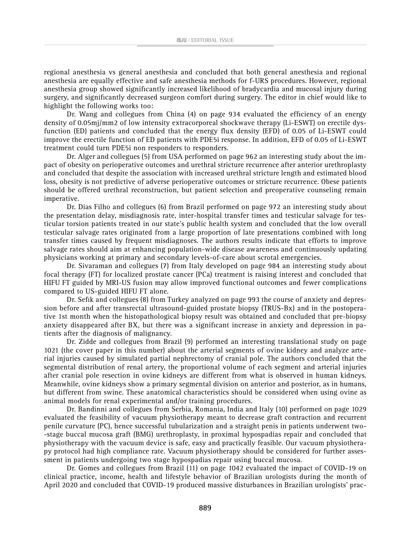regional anesthesia vs general anesthesia and concluded that both general anesthesia and regional anesthesia are equally effective and safe anesthesia methods for f-URS procedures. However, regional anesthesia group showed significantly increased likelihood of bradycardia and mucosal injury during surgery, and significantly decreased surgeon comfort during surgery. The editor in chief would like to highlight the following works too:

Dr. Wang and collegues from China (4) on page 934 evaluated the efficiency of an energy density of 0.05mj/mm2 of low intensity extracorporeal shockwave therapy (Li-ESWT) on erectile dysfunction (ED) patients and concluded that the energy flux density (EFD) of 0.05 of Li-ESWT could improve the erectile function of ED patients with PDE5i response. In addition, EFD of 0.05 of Li-ESWT treatment could turn PDE5i non responders to responders.

Dr. Alger and collegues (5) from USA performed on page 962 an interesting study about the impact of obesity on perioperative outcomes and urethral stricture recurrence after anterior urethroplasty and concluded that despite the association with increased urethral stricture length and estimated blood loss, obesity is not predictive of adverse perioperative outcomes or stricture recurrence. Obese patients should be offered urethral reconstruction, but patient selection and preoperative counseling remain imperative.

Dr. Dias Filho and collegues (6) from Brazil performed on page 972 an interesting study about the presentation delay, misdiagnosis rate, inter-hospital transfer times and testicular salvage for testicular torsion patients treated in our state's public health system and concluded that the low overall testicular salvage rates originated from a large proportion of late presentations combined with long transfer times caused by frequent misdiagnoses. The authors results indicate that efforts to improve salvage rates should aim at enhancing population-wide disease awareness and continuously updating physicians working at primary and secondary levels-of-care about scrotal emergencies.

Dr. Sivaraman and collegues (7) from Italy developed on page 984 an interesting study about focal therapy (FT) for localized prostate cancer (PCa) treatment is raising interest and concluded that HIFU FT guided by MRI-US fusion may allow improved functional outcomes and fewer complications compared to US-guided HIFU FT alone.

Dr. Sefik and collegues (8) from Turkey analyzed on page 993 the course of anxiety and depression before and after transrectal ultrasound-guided prostate biopsy (TRUS-Bx) and in the postoperative 1st month when the histopathological biopsy result was obtained and concluded that pre-biopsy anxiety disappeared after BX, but there was a significant increase in anxiety and depression in patients after the diagnosis of malignancy.

Dr. Zidde and collegues from Brazil (9) performed an interesting translational study on page 1021 (the cover paper in this number) about the arterial segments of ovine kidney and analyze arterial injuries caused by simulated partial nephrectomy of cranial pole. The authors concluded that the segmental distribution of renal artery, the proportional volume of each segment and arterial injuries after cranial pole resection in ovine kidneys are different from what is observed in human kidneys. Meanwhile, ovine kidneys show a primary segmental division on anterior and posterior, as in humans, but different from swine. These anatomical characteristics should be considered when using ovine as animal models for renal experimental and/or training procedures.

Dr. Bandinni and collegues from Serbia, Romania, India and Italy (10) performed on page 1029 evaluated the feasibility of vacuum physiotherapy meant to decrease graft contraction and recurrent penile curvature (PC), hence successful tubularization and a straight penis in patients underwent two- -stage buccal mucosa graft (BMG) urethroplasty, in proximal hypospadias repair and concluded that physiotherapy with the vacuum device is safe, easy and practically feasible. Our vacuum physiotherapy protocol had high compliance rate. Vacuum physiotherapy should be considered for further assessment in patients undergoing two stage hypospadias repair using buccal mucosa.

Dr. Gomes and collegues from Brazil (11) on page 1042 evaluated the impact of COVID-19 on clinical practice, income, health and lifestyle behavior of Brazilian urologists during the month of April 2020 and concluded that COVID-19 produced massive disturbances in Brazilian urologists' prac